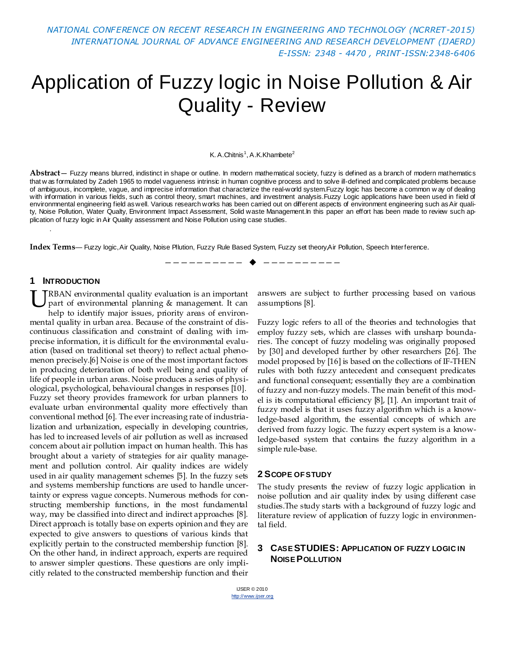*NATIONAL CONFERENCE ON RECENT RESEARCH IN ENGINEERING AND TECHNOLOGY (NCRRET-2015) INTERNATIONAL JOURNAL OF ADVANCE ENGINEERING AND RESEARCH DEVELOPMENT (IJAERD) E-ISSN: 2348 - 4470 , PRINT-ISSN:2348-6406*

# Application of Fuzzy logic in Noise Pollution & Air Quality - Review

#### K. A.Chitnis<sup>1</sup>, A.K.Khambete<sup>2</sup>

**Abstract**— Fuzzy means blurred, indistinct in shape or outline. In modern mathematical society, fuzzy is defined as a branch of modern mathematics that w as formulated by Zadeh 1965 to model vagueness intrinsic in human cognitive process and to solve ill-defined and complicated problems because of ambiguous, incomplete, vague, and imprecise information that characterize the real-world system.Fuzzy logic has become a common w ay of dealing with information in various fields, such as control theory, smart machines, and investment analysis.Fuzzy Logic applications have been used in field of environmnental engineering field as well. Various research works has been carried out on different aspects of environment engineering such as Air quality, Noise Pollution, Water Qualty, Environment Impact Assessment, Solid waste Management.In this paper an effort has been made to review such application of fuzzy logic in Air Quality assessment and Noise Pollution using case studies.

—————————— ——————————

**Index Terms**— Fuzzy logic, Air Quality, Noise Pllution, Fuzzy Rule Based System, Fuzzy set theory,Air Pollution, Speech Interference.

#### **1 INTRODUCTION**

.

RBAN environmental quality evaluation is an important part of environmental planning & management. It can help to identify major issues, priority areas of environmental quality in urban area. Because of the constraint of discontinuous classification and constraint of dealing with imprecise information, it is difficult for the environmental evaluation (based on traditional set theory) to reflect actual phenomenon precisely.[6] Noise is one of the most important factors in producing deterioration of both well being and quality of life of people in urban areas. Noise produces a series of physiological, psychological, behavioural changes in responses [10]. Fuzzy set theory provides framework for urban planners to evaluate urban environmental quality more effectively than conventional method [6]. The ever increasing rate of industrialization and urbanization, especially in developing countries, has led to increased levels of air pollution as well as increased concern about air pollution impact on human health. This has brought about a variety of strategies for air quality management and pollution control. Air quality indices are widely used in air quality management schemes [5]. In the fuzzy sets and systems membership functions are used to handle uncertainty or express vague concepts. Numerous methods for constructing membership functions, in the most fundamental way, may be classified into direct and indirect approaches [8]. Direct approach is totally base on experts opinion and they are expected to give answers to questions of various kinds that explicitly pertain to the constructed membership function [8]. On the other hand, in indirect approach, experts are required to answer simpler questions. These questions are only implicitly related to the constructed membership function and their U

answers are subject to further processing based on various assumptions [8].

Fuzzy logic refers to all of the theories and technologies that employ fuzzy sets, which are classes with unsharp boundaries. The concept of fuzzy modeling was originally proposed by [30] and developed further by other researchers [26]. The model proposed by [16] is based on the collections of IF-THEN rules with both fuzzy antecedent and consequent predicates and functional consequent; essentially they are a combination of fuzzy and non-fuzzy models. The main benefit of this model is its computational efficiency [8], [1]. An important trait of fuzzy model is that it uses fuzzy algorithm which is a knowledge-based algorithm, the essential concepts of which are derived from fuzzy logic. The fuzzy expert system is a knowledge-based system that contains the fuzzy algorithm in a simple rule-base.

#### **2 SCOPE OF STUDY**

The study presents the review of fuzzy logic application in noise pollution and air quality index by using different case studies.The study starts with a background of fuzzy logic and literature review of application of fuzzy logic in environmental field.

## **3 CASE STUDIES: APPLICATION OF FUZZY LOGIC IN NOISE POLLUTION**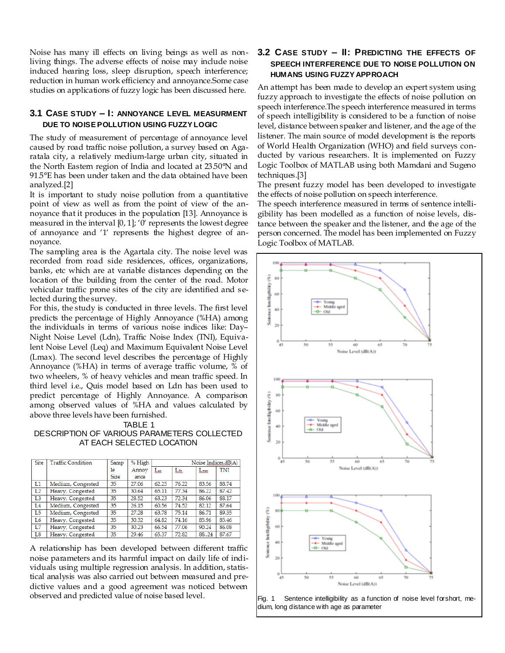Noise has many ill effects on living beings as well as nonliving things. The adverse effects of noise may include noise induced hearing loss, sleep disruption, speech interference; reduction in human work efficiency and annoyance.Some case studies on applications of fuzzy logic has been discussed here.

### **3.1 CASE STUDY – I: ANNOYANCE LEVEL MEASURMENT DUE TO NOISE POLLUTION USING FUZZY LOGIC**

The study of measurement of percentage of annoyance level caused by road traffic noise pollution, a survey based on Agaratala city, a relatively medium-large urban city, situated in the North Eastern region of India and located at 23.50°N and 91.5°E has been under taken and the data obtained have been analyzed.[2]

It is important to study noise pollution from a quantitative point of view as well as from the point of view of the annoyance that it produces in the population [13]. Annoyance is measured in the interval  $[0, 1]$ ; '0' represents the lowest degree of annoyance and '1' represents the highest degree of annoyance.

The sampling area is the Agartala city. The noise level was recorded from road side residences, offices, organizations, banks, etc which are at variable distances depending on the location of the building from the center of the road. Motor vehicular traffic prone sites of the city are identified and selected during the survey.

For this, the study is conducted in three levels. The first level predicts the percentage of Highly Annoyance (%HA) among the individuals in terms of various noise indices like: Day– Night Noise Level (Ldn), Traffic Noise Index (TNI), Equivalent Noise Level (Leq) and Maximum Equivalent Noise Level (Lmax). The second level describes the percentage of Highly Annoyance (%HA) in terms of average traffic volume, % of two wheelers, % of heavy vehicles and mean traffic speed. In third level i.e., Quis model based on Ldn has been used to predict percentage of Highly Annoyance. A comparison among observed values of %HA and values calculated by above three levels have been furnished.



DESCRIPTION OF VARIOUS PARAMETERS COLLECTED AT EACH SELECTED LOCATION

| Site           | <b>Traffic Condition</b> | Samp        | % High | Noise Indices, dB(A) |       |               |       |
|----------------|--------------------------|-------------|--------|----------------------|-------|---------------|-------|
|                |                          | le          | Annoy  | Leg                  | Lan   | $_{\rm Lmax}$ | TNI   |
|                |                          | <b>Size</b> | ance   |                      |       |               |       |
| L1             | Medium, Congested        | 35          | 27.06  | 62.25                | 76.22 | 83.56         | 88.74 |
| L <sub>2</sub> | Heavy, Congested         | 35          | 30.64  | 65.11                | 77.34 | 86.22         | 87.42 |
| L <sub>3</sub> | Heavy, Congested         | 35          | 28.52  | 63.23                | 72.34 | 86.06         | 88.17 |
| L <sub>4</sub> | Medium, Congested        | 35          | 26.15  | 60.56                | 74.52 | 82.12         | 87.64 |
| L <sub>5</sub> | Medium, Congested        | 35          | 27.28  | 63.78                | 75.14 | 86.71         | 89.35 |
| L <sub>6</sub> | Heavy, Congested         | 35          | 30.32  | 64.82                | 74.16 | 85.96         | 85.46 |
| L7             | Heavy, Congested         | 35          | 30.23  | 66.54                | 77.06 | 90.24         | 86.08 |
| L <sub>8</sub> | Heavy, Congested         | 35          | 29.46  | 65.37                | 72.82 | 8824          | 87.67 |

A relationship has been developed between different traffic noise parameters and its harmful impact on daily life of individuals using multiple regression analysis. In addition, statistical analysis was also carried out between measured and predictive values and a good agreement was noticed between observed and predicted value of noise based level.

# **3.2 CASE STUDY – II: PREDICTING THE EFFECTS OF SPEECH INTERFERENCE DUE TO NOISE POLLUTION ON HUMANS USING FUZZY APPROACH**

An attempt has been made to develop an expert system using fuzzy approach to investigate the effects of noise pollution on speech interference.The speech interference measured in terms of speech intelligibility is considered to be a function of noise level, distance between speaker and listener, and the age of the listener. The main source of model development is the reports of World Health Organization (WHO) and field surveys conducted by various researchers. It is implemented on Fuzzy Logic Toolbox of MATLAB using both Mamdani and Sugeno techniques.[3]

The present fuzzy model has been developed to investigate the effects of noise pollution on speech interference.

The speech interference measured in terms of sentence intelligibility has been modelled as a function of noise levels, distance between the speaker and the listener, and the age of the person concerned. The model has been implemented on Fuzzy Logic Toolbox of MATLAB.



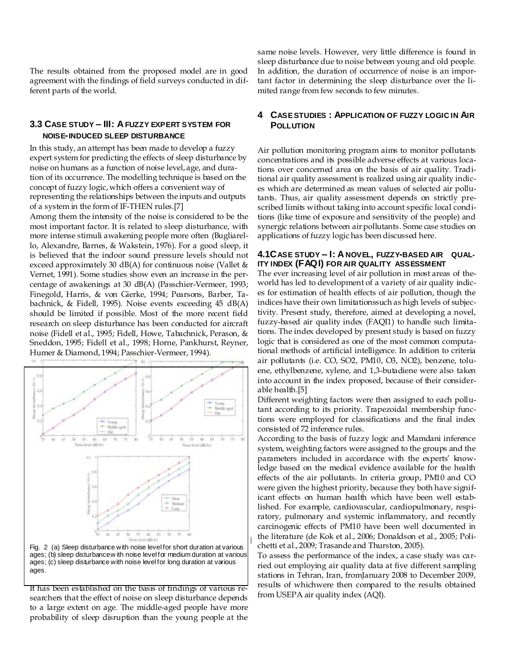The results obtained from the proposed model are in good agreement with the findings of field surveys conducted in different parts of the world.

#### **3.3 CASE STUDY – III: A FUZZY EXPERT SYSTEM FOR NOISE-INDUCED SLEEP DISTURBANCE**

In this study, an attempt has been made to develop a fuzzy expert system for predicting the effects of sleep disturbance by noise on humans as a function of noise level, age, and duration of its occurrence. The modelling technique is based on the concept of fuzzy logic, which offers a convenient way of representing the relationships between the inputs and outputs of a system in the form of IF-THEN rules.[7]

Among them the intensity of the noise is considered to be the most important factor. It is related to sleep disturbance, with more intense stimuli awakening people more often (Bugliarello, Alexandre, Barnes, & Wakstein, 1976). For a good sleep, it is believed that the indoor sound pressure levels should not exceed approximately 30 dB(A) for continuous noise (Vallet  $\&$ Vernet, 1991). Some studies show even an increase in the percentage of awakenings at 30 dB(A) (Passchier-Vermeer, 1993; Finegold, Harris, & von Gierke, 1994; Pearsons, Barber, Tabachnick, & Fidell, 1995). Noise events exceeding 45 dB(A) should be limited if possible. Most of the more recent field research on sleep disturbance has been conducted for aircraft noise (Fidell et al., 1995; Fidell, Howe, Tabachnick, Perason, & Sneddon, 1995; Fidell et al., 1998; Horne, Pankhurst, Reyner, Humer & Diamond, 1994; Passchier-Vermeer, 1994).



Fig. 2 (a) Sleep disturbance with noise level for short duration at various ages; (b) sleep disturbance w ith noise level for medium duration at various ages; (c) sleep disturbance with noise level for long duration at various ages.

It has been established on the basis of findings of various researchers that the effect of noise on sleep disturbance depends to a large extent on age. The middle-aged people have more probability of sleep disruption than the young people at the same noise levels. However, very little difference is found in sleep disturbance due to noise between young and old people. In addition, the duration of occurrence of noise is an important factor in determining the sleep disturbance over the limited range from few seconds to few minutes.

#### **4 CASE STUDIES : APPLICATION OF FUZZY LOGIC IN AIR POLLUTION**

Air pollution monitoring program aims to monitor pollutants concentrations and its possible adverse effects at various locations over concerned area on the basis of air quality. Traditional air quality assessment is realized using air quality indices which are determined as mean values of selected air pollutants. Thus, air quality assessment depends on strictly prescribed limits without taking into account specific local conditions (like time of exposure and sensitivity of the people) and synergic relations between air pollutants. Some case studies on applications of fuzzy logic has been discussed here.

#### **4.1CASE STUDY – I: A NOVEL, FUZZY-BASED AIR QUAL-ITY INDEX (FAQI) FOR AIR QUALITY ASSESSMENT**

The ever increasing level of air pollution in most areas of theworld has led to development of a variety of air quality indices for estimation of health effects of air pollution, though the indices have their own limitationssuch as high levels of subjectivity. Present study, therefore, aimed at developing a novel, fuzzy-based air quality index (FAQI1) to handle such limitations. The index developed by present study is based on fuzzy logic that is considered as one of the most common computational methods of artificial intelligence. In addition to criteria air pollutants (i.e. CO, SO2, PM10, O3, NO2), benzene, toluene, ethylbenzene, xylene, and 1,3-butadiene were also taken into account in the index proposed, because of their considerable health.[5]

Different weighting factors were then assigned to each pollutant according to its priority. Trapezoidal membership functions were employed for classifications and the final index consisted of 72 inference rules.

According to the basis of fuzzy logic and Mamdani inference system, weighting factors were assigned to the groups and the parameters included in accordance with the experts' knowledge based on the medical evidence available for the health effects of the air pollutants. In criteria group, PM10 and CO were given the highest priority, because they both have significant effects on human health which have been well established. For example, cardiovascular, cardiopulmonary, respiratory, pulmonary and systemic inflammatory, and recently carcinogenic effects of PM10 have been well documented in the literature (de Kok et al., 2006; Donaldson et al., 2005; Polichetti et al., 2009; Trasande and Thurston, 2005).

To assess the performance of the index, a case study was carried out employing air quality data at five different sampling stations in Tehran, Iran, fromJanuary 2008 to December 2009, results of whichwere then compared to the results obtained from USEPA air quality index (AQI).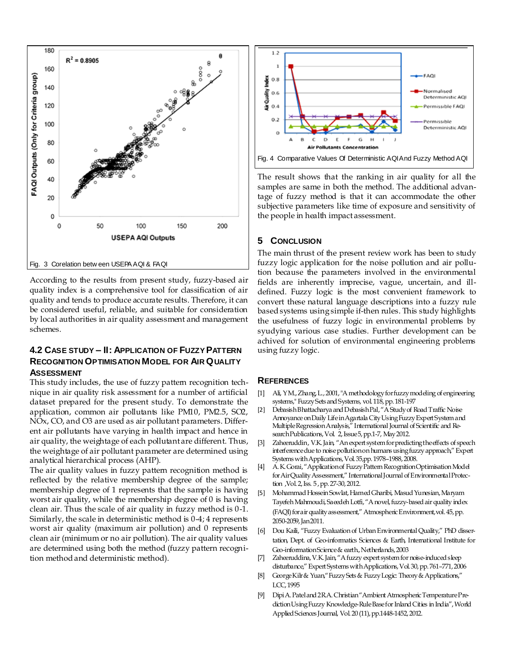

According to the results from present study, fuzzy-based air quality index is a comprehensive tool for classification of air quality and tends to produce accurate results. Therefore, it can be considered useful, reliable, and suitable for consideration by local authorities in air quality assessment and management schemes.

## **4.2 CASE STUDY – II: APPLICATION OF FUZZY PATTERN RECOGNITION OPTIMISATION MODEL FOR AIR QUALITY ASSESSMENT**

This study includes, the use of fuzzy pattern recognition technique in air quality risk assessment for a number of artificial dataset prepared for the present study. To demonstrate the application, common air pollutants like PM10, PM2.5, SO2, NOx, CO, and O3 are used as air pollutant parameters. Different air pollutants have varying in health impact and hence in air quality, the weightage of each pollutant are different. Thus, the weightage of air pollutant parameter are determined using analytical hierarchical process (AHP).

The air quality values in fuzzy pattern recognition method is reflected by the relative membership degree of the sample; membership degree of 1 represents that the sample is having worst air quality, while the membership degree of 0 is having clean air. Thus the scale of air quality in fuzzy method is 0-1. Similarly, the scale in deterministic method is 0-4; 4 represents worst air quality (maximum air pollution) and 0 represents clean air (minimum or no air pollution). The air quality values are determined using both the method (fuzzy pattern recognition method and deterministic method).



The result shows that the ranking in air quality for all the samples are same in both the method. The additional advantage of fuzzy method is that it can accommodate the other subjective parameters like time of exposure and sensitivity of the people in health impact assessment.

### **5 CONCLUSION**

The main thrust of the present review work has been to study fuzzy logic application for the noise pollution and air pollution because the parameters involved in the environmental fields are inherently imprecise, vague, uncertain, and illdefined. Fuzzy logic is the most convenient framework to convert these natural language descriptions into a fuzzy rule based systems using simple if-then rules. This study highlights the usefulness of fuzzy logic in environmental problems by syudying various case studies. Further development can be achived for solution of environmental engineering problems using fuzzy logic.

#### **REFERENCES**

- [1] Ali, Y M., Zhang, L., 2001, "A methodology for fuzzy modeling of engineering systems," Fuzzy Sets and Systems, vol. 118, pp. 181-197
- [2] Debasish Bhattacharya and Debasish Pal, "A Study of Road Traffic Noise Annoyance on Daily Life in Agartala City Using Fuzzy Expert System and Multiple Regression Analysis," International Journal of Scientific and Research Publications, Vol. 2, Issue 5, pp.1-7, May 2012.
- [3] Zaheeruddin, V.K. Jain, "An expert system for predicting the effects of speech interference due to noise pollution on humans using fuzzy approach," Expert Systems with Applications, Vol. 35,pp. 1978–1988, 2008.
- [4] A. K. Gorai, "Application of Fuzzy Pattern Recognition Optimisation Model for Air Quality Assessment," International Journal of Environmental Protection ,Vol. 2, Iss. 5 , pp. 27-30, 2012.
- [5] Mohammad Hossein Sowlat, Hamed Gharibi, Masud Yunesian, Maryam Tayefeh Mahmoudi, Saeedeh Lotfi, "A novel, fuzzy-based air quality index (FAQI) for a ir quality assessment," Atmospheric Environment, vol. 45, pp. 2050-2059, Jan 2011.
- [6] Dou Kaili, "Fuzzy Evaluation of Urban Environmental Quality," PhD dissertation, Dept. of Geo-informatics Sciences & Earth, International Institute for Geo-information Science & earth., Netherlands, 2003
- [7] Zaheeruddina, V.K. Jain, "A fuzzy expert system for noise-induced sleep disturbance," Expert Systems with Applications, Vol. 30, pp. 761-771, 2006
- [8] George Kilr & Yuan," Fuzzy Sets & Fuzzy Logic: Theory & Applications," LCC, 1995
- [9] Dipi A. Patel and 2RA. Christian "Ambient Atmospheric Temperature Prediction Using Fuzzy Knowledge-Rule Base for Inland Cities in India", World Applied Sciences Journal, Vol. 20 (11), pp.1448-1452, 2012.